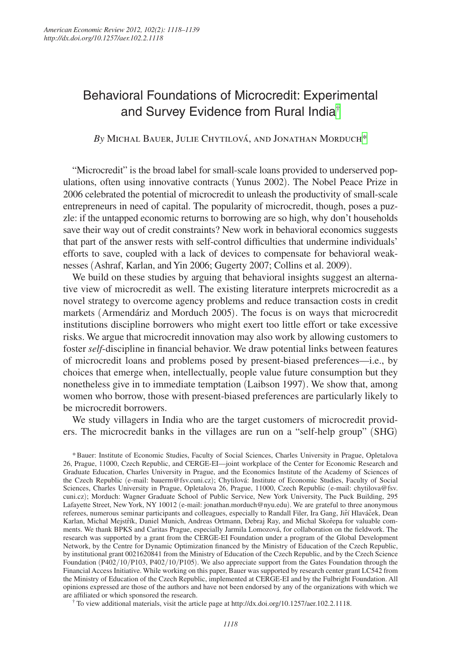# Behavioral Foundations of Microcredit: Experimental and Survey Evidence from Rural India[†](#page-0-0)

# *By* Michal Bauer, Julie Chytilová, and Jonathan Morduch[\\*](#page-0-1)

"Microcredit" is the broad label for small-scale loans provided to underserved populations, often using innovative contracts (Yunus 2002). The Nobel Peace Prize in 2006 celebrated the potential of microcredit to unleash the productivity of small-scale entrepreneurs in need of capital. The popularity of microcredit, though, poses a puzzle: if the untapped economic returns to borrowing are so high, why don't households save their way out of credit constraints? New work in behavioral economics suggests that part of the answer rests with self-control difficulties that undermine individuals' efforts to save, coupled with a lack of devices to compensate for behavioral weaknesses (Ashraf, Karlan, and Yin 2006; Gugerty 2007; Collins et al. 2009).

We build on these studies by arguing that behavioral insights suggest an alternative view of microcredit as well. The existing literature interprets microcredit as a novel strategy to overcome agency problems and reduce transaction costs in credit markets (Armendáriz and Morduch 2005). The focus is on ways that microcredit institutions discipline borrowers who might exert too little effort or take excessive risks. We argue that microcredit innovation may also work by allowing customers to foster *self*-discipline in financial behavior. We draw potential links between features of microcredit loans and problems posed by present-biased preferences—i.e., by choices that emerge when, intellectually, people value future consumption but they nonetheless give in to immediate temptation (Laibson 1997). We show that, among women who borrow, those with present-biased preferences are particularly likely to be microcredit borrowers.

We study villagers in India who are the target customers of microcredit providers. The microcredit banks in the villages are run on a "self-help group" (SHG)

<span id="page-0-1"></span>\*Bauer: Institute of Economic Studies, Faculty of Social Sciences, Charles University in Prague, Opletalova 26, Prague, 11000, Czech Republic, and CERGE-EI—joint workplace of the Center for Economic Research and Graduate Education, Charles University in Prague, and the Economics Institute of the Academy of Sciences of the Czech Republic (e-mail: [bauerm@fsv.cuni.cz](mailto:bauerm@fsv.cuni.cz)); Chytilová: Institute of Economic Studies, Faculty of Social Sciences, Charles University in Prague, Opletalova 26, Prague, 11000, Czech Republic (e-mail: [chytilova@fsv.](mailto:chytilova@fsv.cuni.cz) [cuni.cz](mailto:chytilova@fsv.cuni.cz)); Morduch: Wagner Graduate School of Public Service, New York University, The Puck Building, 295 Lafayette Street, New York, NY 10012 (e-mail: jonathan.morduch@nyu.edu). We are grateful to three anonymous referees, numerous seminar participants and colleagues, especially to Randall Filer, Ira Gang, Jiří Hlaváček, Dean Karlan, Michal Mejstřík, Daniel Munich, Andreas Ortmann, Debraj Ray, and Michal Skořepa for valuable comments. We thank BPKS and Caritas Prague, especially Jarmila Lomozová, for collaboration on the fieldwork. The research was supported by a grant from the CERGE-EI Foundation under a program of the Global Development Network, by the Centre for Dynamic Optimization financed by the Ministry of Education of the Czech Republic, by institutional grant 0021620841 from the Ministry of Education of the Czech Republic, and by the Czech Science Foundation (P402/10/P103, P402/10/P105). We also appreciate support from the Gates Foundation through the Financial Access Initiative. While working on this paper, Bauer was supported by research center grant LC542 from the Ministry of Education of the Czech Republic, implemented at CERGE-EI and by the Fulbright Foundation. All opinions expressed are those of the authors and have not been endorsed by any of the organizations with which we are affiliated or which sponsored the research.<br> $\frac{1}{10}$  To view additional materials, visit the article page at [http://dx.doi.org/10.1257/aer.102.2.1118.](http://dx.doi.org/10.1257/aer.102.2.1118)

<span id="page-0-0"></span>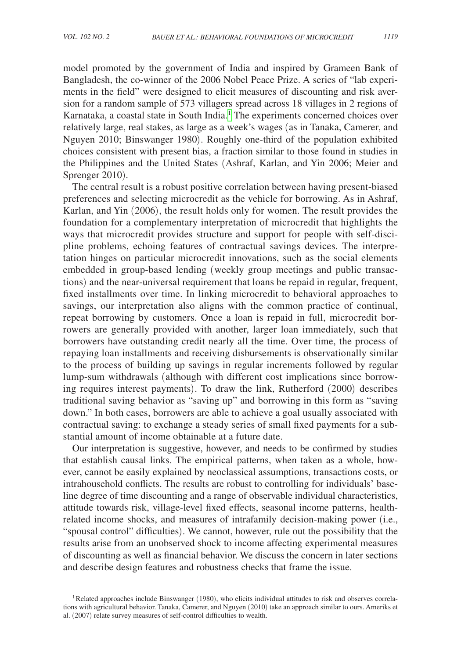model promoted by the government of India and inspired by Grameen Bank of Bangladesh, the co-winner of the 2006 Nobel Peace Prize. A series of "lab experiments in the field" were designed to elicit measures of discounting and risk aversion for a random sample of 573 villagers spread across 18 villages in 2 regions of Karnataka, a coastal state in South India.<sup>[1](#page-1-0)</sup> The experiments concerned choices over relatively large, real stakes, as large as a week's wages (as in Tanaka, Camerer, and Nguyen 2010; Binswanger 1980). Roughly one-third of the population exhibited choices consistent with present bias, a fraction similar to those found in studies in the Philippines and the United States (Ashraf, Karlan, and Yin 2006; Meier and Sprenger 2010).

The central result is a robust positive correlation between having present-biased preferences and selecting microcredit as the vehicle for borrowing. As in Ashraf, Karlan, and Yin (2006), the result holds only for women. The result provides the foundation for a complementary interpretation of microcredit that highlights the ways that microcredit provides structure and support for people with self-discipline problems, echoing features of contractual savings devices. The interpretation hinges on particular microcredit innovations, such as the social elements embedded in group-based lending (weekly group meetings and public transactions) and the near-universal requirement that loans be repaid in regular, frequent, fixed installments over time. In linking microcredit to behavioral approaches to savings, our interpretation also aligns with the common practice of continual, repeat borrowing by customers. Once a loan is repaid in full, microcredit borrowers are generally provided with another, larger loan immediately, such that borrowers have outstanding credit nearly all the time. Over time, the process of repaying loan installments and receiving disbursements is observationally similar to the process of building up savings in regular increments followed by regular lump-sum withdrawals (although with different cost implications since borrowing requires interest payments). To draw the link, Rutherford (2000) describes traditional saving behavior as "saving up" and borrowing in this form as "saving down." In both cases, borrowers are able to achieve a goal usually associated with contractual saving: to exchange a steady series of small fixed payments for a substantial amount of income obtainable at a future date.

Our interpretation is suggestive, however, and needs to be confirmed by studies that establish causal links. The empirical patterns, when taken as a whole, however, cannot be easily explained by neoclassical assumptions, transactions costs, or intrahousehold conflicts. The results are robust to controlling for individuals' baseline degree of time discounting and a range of observable individual characteristics, attitude towards risk, village-level fixed effects, seasonal income patterns, healthrelated income shocks, and measures of intrafamily decision-making power (i.e., "spousal control" difficulties). We cannot, however, rule out the possibility that the results arise from an unobserved shock to income affecting experimental measures of discounting as well as financial behavior. We discuss the concern in later sections and describe design features and robustness checks that frame the issue.

<span id="page-1-0"></span><sup>&</sup>lt;sup>1</sup>Related approaches include Binswanger (1980), who elicits individual attitudes to risk and observes correlations with agricultural behavior. Tanaka, Camerer, and Nguyen (2010) take an approach similar to ours. Ameriks et al. (2007) relate survey measures of self-control difficulties to wealth.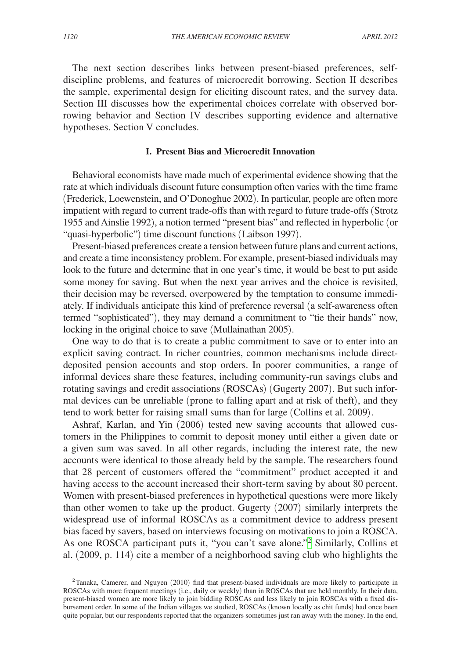<span id="page-2-0"></span>The next section describes links between present-biased preferences, selfdiscipline problems, and features of microcredit borrowing. Section II describes the sample, experimental design for eliciting discount rates, and the survey data. Section III discusses how the experimental choices correlate with observed borrowing behavior and Section IV describes supporting evidence and alternative hypotheses. Section V concludes.

#### **I. Present Bias and Microcredit Innovation**

Behavioral economists have made much of experimental evidence showing that the rate at which individuals discount future consumption often varies with the time frame (Frederick, Loewenstein, and O'Donoghue 2002). In particular, people are often more impatient with regard to current trade-offs than with regard to future trade-offs (Strotz 1955 and Ainslie 1992), a notion termed "present bias" and reflected in hyperbolic (or "quasi-hyperbolic") time discount functions (Laibson 1997).

Present-biased preferences create a tension between future plans and current actions, and create a time inconsistency problem. For example, present-biased individuals may look to the future and determine that in one year's time, it would be best to put aside some money for saving. But when the next year arrives and the choice is revisited, their decision may be reversed, overpowered by the temptation to consume immediately. If individuals anticipate this kind of preference reversal (a self-awareness often termed "sophisticated"), they may demand a commitment to "tie their hands" now, locking in the original choice to save (Mullainathan 2005).

One way to do that is to create a public commitment to save or to enter into an explicit saving contract. In richer countries, common mechanisms include directdeposited pension accounts and stop orders. In poorer communities, a range of informal devices share these features, including community-run savings clubs and rotating savings and credit associations (ROSCAs) (Gugerty 2007). But such informal devices can be unreliable (prone to falling apart and at risk of theft), and they tend to work better for raising small sums than for large (Collins et al. 2009).

Ashraf, Karlan, and Yin (2006) tested new saving accounts that allowed customers in the Philippines to commit to deposit money until either a given date or a given sum was saved. In all other regards, including the interest rate, the new accounts were identical to those already held by the sample. The researchers found that 28 percent of customers offered the "commitment" product accepted it and having access to the account increased their short-term saving by about 80 percent. Women with present-biased preferences in hypothetical questions were more likely than other women to take up the product. Gugerty (2007) similarly interprets the widespread use of informal ROSCAs as a commitment device to address present bias faced by savers, based on interviews focusing on motivations to join a ROSCA. As one ROSCA participant puts it, "you can't save alone."<sup>[2](#page-2-1)</sup> Similarly, Collins et al. (2009, p. 114) cite a member of a neighborhood saving club who highlights the

<span id="page-2-1"></span> $2$ Tanaka, Camerer, and Nguyen (2010) find that present-biased individuals are more likely to participate in ROSCAs with more frequent meetings (i.e., daily or weekly) than in ROSCAs that are held monthly. In their data, present-biased women are more likely to join bidding ROSCAs and less likely to join ROSCAs with a fixed disbursement order. In some of the Indian villages we studied, ROSCAs (known locally as chit funds) had once been quite popular, but our respondents reported that the organizers sometimes just ran away with the money. In the end,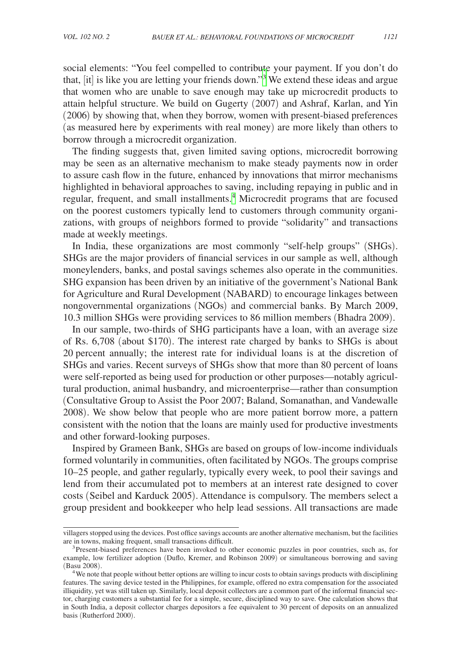social elements: "You feel compelled to contribute your payment. If you don't do that, [it] is like you are letting your friends down."[3](#page-3-0) We extend these ideas and argue that women who are unable to save enough may take up microcredit products to attain helpful structure. We build on Gugerty (2007) and Ashraf, Karlan, and Yin (2006) by showing that, when they borrow, women with present-biased preferences (as measured here by experiments with real money) are more likely than others to borrow through a microcredit organization.

The finding suggests that, given limited saving options, microcredit borrowing may be seen as an alternative mechanism to make steady payments now in order to assure cash flow in the future, enhanced by innovations that mirror mechanisms highlighted in behavioral approaches to saving, including repaying in public and in regular, frequent, and small installments.<sup>[4](#page-3-1)</sup> Microcredit programs that are focused on the poorest customers typically lend to customers through community organizations, with groups of neighbors formed to provide "solidarity" and transactions made at weekly meetings.

In India, these organizations are most commonly "self-help groups" (SHGs). SHGs are the major providers of financial services in our sample as well, although moneylenders, banks, and postal savings schemes also operate in the communities. SHG expansion has been driven by an initiative of the government's National Bank for Agriculture and Rural Development (NABARD) to encourage linkages between nongovernmental organizations (NGOs) and commercial banks. By March 2009, 10.3 million SHGs were providing services to 86 million members (Bhadra 2009).

In our sample, two-thirds of SHG participants have a loan, with an average size of Rs. 6,708 (about \$170). The interest rate charged by banks to SHGs is about 20 percent annually; the interest rate for individual loans is at the discretion of SHGs and varies. Recent surveys of SHGs show that more than 80 percent of loans were self-reported as being used for production or other purposes—notably agricultural production, animal husbandry, and microenterprise—rather than consumption (Consultative Group to Assist the Poor 2007; Baland, Somanathan, and Vandewalle 2008). We show below that people who are more patient borrow more, a pattern consistent with the notion that the loans are mainly used for productive investments and other forward-looking purposes.

Inspired by Grameen Bank, SHGs are based on groups of low-income individuals formed voluntarily in communities, often facilitated by NGOs. The groups comprise 10–25 people, and gather regularly, typically every week, to pool their savings and lend from their accumulated pot to members at an interest rate designed to cover costs (Seibel and Karduck 2005). Attendance is compulsory. The members select a group president and bookkeeper who help lead sessions. All transactions are made

villagers stopped using the devices. Post office savings accounts are another alternative mechanism, but the facilities are in towns, making frequent, small transactions difficult.<br><sup>3</sup>Present-biased preferences have been invoked to other economic puzzles in poor countries, such as, for

<span id="page-3-0"></span>example, low fertilizer adoption (Duflo, Kremer, and Robinson 2009) or simultaneous borrowing and saving (Basu 2008).

<span id="page-3-1"></span> $4$ We note that people without better options are willing to incur costs to obtain savings products with disciplining features. The saving device tested in the Philippines, for example, offered no extra compensation for the associated illiquidity, yet was still taken up. Similarly, local deposit collectors are a common part of the informal financial sector, charging customers a substantial fee for a simple, secure, disciplined way to save. One calculation shows that in South India, a deposit collector charges depositors a fee equivalent to 30 percent of deposits on an annualized basis (Rutherford 2000).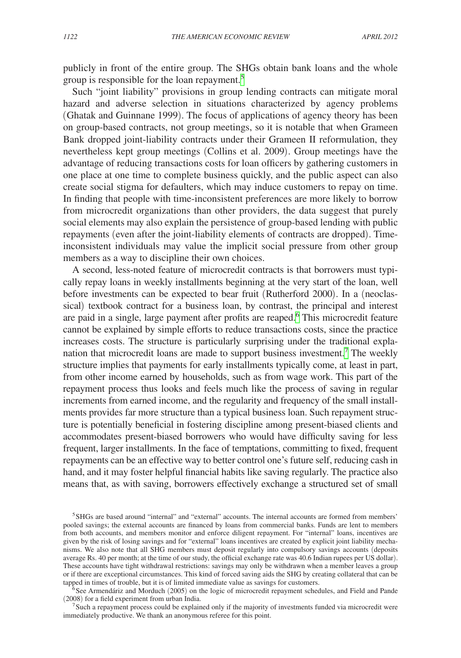publicly in front of the entire group. The SHGs obtain bank loans and the whole group is responsible for the loan repayment.<sup>[5](#page-4-0)</sup>

Such "joint liability" provisions in group lending contracts can mitigate moral hazard and adverse selection in situations characterized by agency problems (Ghatak and Guinnane 1999). The focus of applications of agency theory has been on group-based contracts, not group meetings, so it is notable that when Grameen Bank dropped joint-liability contracts under their Grameen II reformulation, they nevertheless kept group meetings (Collins et al. 2009). Group meetings have the advantage of reducing transactions costs for loan officers by gathering customers in one place at one time to complete business quickly, and the public aspect can also create social stigma for defaulters, which may induce customers to repay on time. In finding that people with time-inconsistent preferences are more likely to borrow from microcredit organizations than other providers, the data suggest that purely social elements may also explain the persistence of group-based lending with public repayments (even after the joint-liability elements of contracts are dropped). Timeinconsistent individuals may value the implicit social pressure from other group members as a way to discipline their own choices.

A second, less-noted feature of microcredit contracts is that borrowers must typically repay loans in weekly installments beginning at the very start of the loan, well before investments can be expected to bear fruit (Rutherford 2000). In a (neoclassical) textbook contract for a business loan, by contrast, the principal and interest are paid in a single, large payment after profits are reaped.<sup>6</sup> This microcredit feature cannot be explained by simple efforts to reduce transactions costs, since the practice increases costs. The structure is particularly surprising under the traditional explanation that microcredit loans are made to support business investment.[7](#page-4-2) The weekly structure implies that payments for early installments typically come, at least in part, from other income earned by households, such as from wage work. This part of the repayment process thus looks and feels much like the process of saving in regular increments from earned income, and the regularity and frequency of the small installments provides far more structure than a typical business loan. Such repayment structure is potentially beneficial in fostering discipline among present-biased clients and accommodates present-biased borrowers who would have difficulty saving for less frequent, larger installments. In the face of temptations, committing to fixed, frequent repayments can be an effective way to better control one's future self, reducing cash in hand, and it may foster helpful financial habits like saving regularly. The practice also means that, as with saving, borrowers effectively exchange a structured set of small

<span id="page-4-0"></span><sup>5</sup>SHGs are based around "internal" and "external" accounts. The internal accounts are formed from members' pooled savings; the external accounts are financed by loans from commercial banks. Funds are lent to members from both accounts, and members monitor and enforce diligent repayment. For "internal" loans, incentives are given by the risk of losing savings and for "external" loans incentives are created by explicit joint liability mechanisms. We also note that all SHG members must deposit regularly into compulsory savings accounts (deposits average Rs. 40 per month; at the time of our study, the official exchange rate was 40.6 Indian rupees per US dollar). These accounts have tight withdrawal restrictions: savings may only be withdrawn when a member leaves a group or if there are exceptional circumstances. This kind of forced saving aids the SHG by creating collateral that can be tapped in times of trouble, but it is of limited immediate value as savings for customers.

<span id="page-4-1"></span><sup>&</sup>lt;sup>the</sup> See Armendáriz and Morduch (2005) on the logic of microcredit repayment schedules, and Field and Pande (2008) for a field experiment from urban India.

<span id="page-4-2"></span> $<sup>7</sup>$  Such a repayment process could be explained only if the majority of investments funded via microcredit were</sup> immediately productive. We thank an anonymous referee for this point.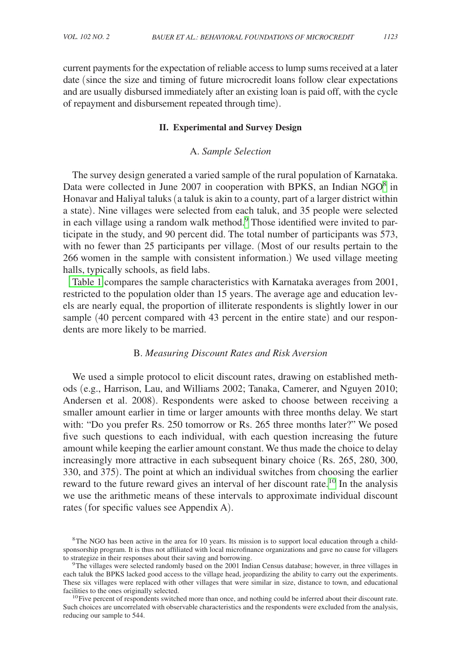<span id="page-5-0"></span>current payments for the expectation of reliable access to lump sums received at a later date (since the size and timing of future microcredit loans follow clear expectations and are usually disbursed immediately after an existing loan is paid off, with the cycle of repayment and disbursement repeated through time).

# **II. Experimental and Survey Design**

## A. *Sample Selection*

The survey design generated a varied sample of the rural population of Karnataka. Data were collected in June 2007 in cooperation with BPKS, an Indian NGO<sup>[8](#page-5-1)</sup> in Honavar and Haliyal taluks (a taluk is akin to a county, part of a larger district within a state). Nine villages were selected from each taluk, and 35 people were selected in each village using a random walk method.<sup>[9](#page-5-2)</sup> Those identified were invited to participate in the study, and 90 percent did. The total number of participants was 573, with no fewer than 25 participants per village. (Most of our results pertain to the 266 women in the sample with consistent information.) We used village meeting halls, typically schools, as field labs.

[Table 1](#page-6-0) compares the sample characteristics with Karnataka averages from 2001, restricted to the population older than 15 years. The average age and education levels are nearly equal, the proportion of illiterate respondents is slightly lower in our sample (40 percent compared with 43 percent in the entire state) and our respondents are more likely to be married.

### B. *Measuring Discount Rates and Risk Aversion*

We used a simple protocol to elicit discount rates, drawing on established methods (e.g., Harrison, Lau, and Williams 2002; Tanaka, Camerer, and Nguyen 2010; Andersen et al. 2008). Respondents were asked to choose between receiving a smaller amount earlier in time or larger amounts with three months delay. We start with: "Do you prefer Rs. 250 tomorrow or Rs. 265 three months later?" We posed five such questions to each individual, with each question increasing the future amount while keeping the earlier amount constant. We thus made the choice to delay increasingly more attractive in each subsequent binary choice (Rs. 265, 280, 300, 330, and 375). The point at which an individual switches from choosing the earlier reward to the future reward gives an interval of her discount rate.<sup>[10](#page-5-3)</sup> In the analysis we use the arithmetic means of these intervals to approximate individual discount rates (for specific values see Appendix A).

<span id="page-5-1"></span><sup>&</sup>lt;sup>8</sup>The NGO has been active in the area for 10 years. Its mission is to support local education through a childsponsorship program. It is thus not affiliated with local microfinance organizations and gave no cause for villagers to strategize in their responses about their saving and borrowing.

<span id="page-5-2"></span><sup>&</sup>lt;sup>9</sup>The villages were selected randomly based on the 2001 Indian Census database; however, in three villages in each taluk the BPKS lacked good access to the village head, jeopardizing the ability to carry out the experiments. These six villages were replaced with other villages that were similar in size, distance to town, and educational facilities to the ones originally selected.

<span id="page-5-3"></span> $^{10}$  Five percent of respondents switched more than once, and nothing could be inferred about their discount rate. Such choices are uncorrelated with observable characteristics and the respondents were excluded from the analysis, reducing our sample to 544.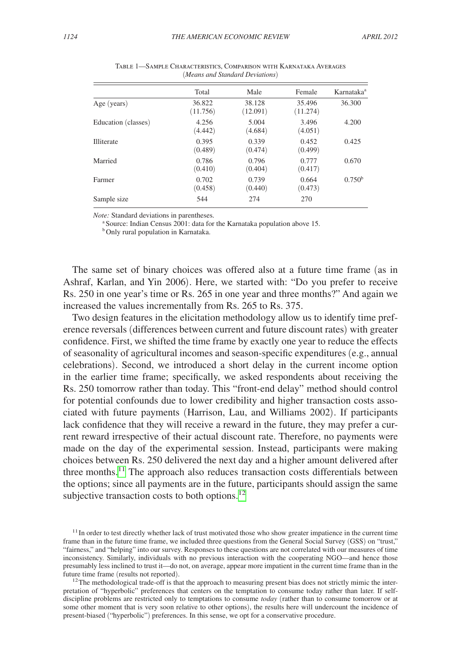<span id="page-6-0"></span>

| Total    | Male     | Female   | Karnataka <sup>a</sup> |
|----------|----------|----------|------------------------|
| 36.822   | 38.128   | 35.496   | 36.300                 |
| (11.756) | (12.091) | (11.274) |                        |
| 4.256    | 5.004    | 3.496    | 4.200                  |
| (4.442)  | (4.684)  | (4.051)  |                        |
| 0.395    | 0.339    | 0.452    | 0.425                  |
| (0.489)  | (0.474)  | (0.499)  |                        |
| 0.786    | 0.796    | 0.777    | 0.670                  |
| (0.410)  | (0.404)  | (0.417)  |                        |
| 0.702    | 0.739    | 0.664    | 0.750 <sup>b</sup>     |
| (0.458)  | (0.440)  | (0.473)  |                        |
| 544      | 274      | 270      |                        |
|          |          |          |                        |

Table 1—Sample Characteristics, Comparison with Karnataka Averages (*Means and Standard Deviations*)

*Note:* Standard deviations in parentheses.<br><sup>a</sup> Source: Indian Census 2001: data for the Karnataka population above 15.

b Only rural population in Karnataka.

The same set of binary choices was offered also at a future time frame (as in Ashraf, Karlan, and Yin 2006). Here, we started with: "Do you prefer to receive Rs. 250 in one year's time or Rs. 265 in one year and three months?" And again we increased the values incrementally from Rs. 265 to Rs. 375.

Two design features in the elicitation methodology allow us to identify time preference reversals (differences between current and future discount rates) with greater confidence. First, we shifted the time frame by exactly one year to reduce the effects of seasonality of agricultural incomes and season-specific expenditures (e.g., annual celebrations). Second, we introduced a short delay in the current income option in the earlier time frame; specifically, we asked respondents about receiving the Rs. 250 tomorrow rather than today. This "front-end delay" method should control for potential confounds due to lower credibility and higher transaction costs associated with future payments (Harrison, Lau, and Williams 2002). If participants lack confidence that they will receive a reward in the future, they may prefer a current reward irrespective of their actual discount rate. Therefore, no payments were made on the day of the experimental session. Instead, participants were making choices between Rs. 250 delivered the next day and a higher amount delivered after three months.<sup>[11](#page-6-1)</sup> The approach also reduces transaction costs differentials between the options; since all payments are in the future, participants should assign the same subjective transaction costs to both options.<sup>[12](#page-6-2)</sup>

<span id="page-6-1"></span> $11$ In order to test directly whether lack of trust motivated those who show greater impatience in the current time frame than in the future time frame, we included three questions from the General Social Survey (GSS) on "trust," "fairness," and "helping" into our survey. Responses to these questions are not correlated with our measures of time inconsistency. Similarly, individuals with no previous interaction with the cooperating NGO—and hence those presumably less inclined to trust it—do not, on average, appear more impatient in the current time frame than in the

<span id="page-6-2"></span>future time frame (results not reported).<br><sup>12</sup>The methodological trade-off is that the approach to measuring present bias does not strictly mimic the interpretation of "hyperbolic" preferences that centers on the temptation to consume today rather than later. If selfdiscipline problems are restricted only to temptations to consume *today* (rather than to consume tomorrow or at some other moment that is very soon relative to other options), the results here will undercount the incidence of present-biased ("hyperbolic") preferences. In this sense, we opt for a conservative procedure.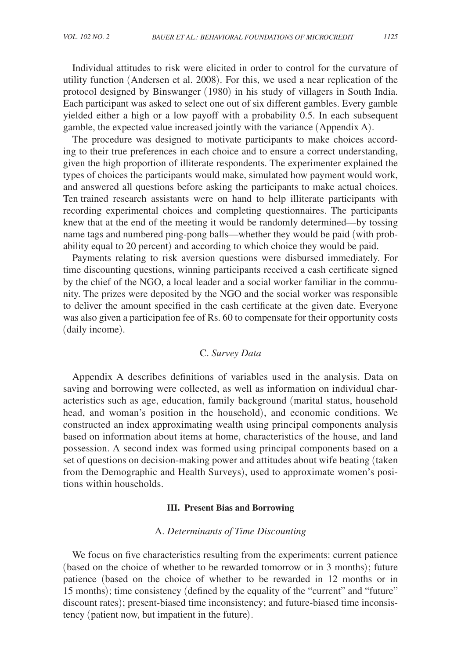<span id="page-7-0"></span>Individual attitudes to risk were elicited in order to control for the curvature of utility function (Andersen et al. 2008). For this, we used a near replication of the protocol designed by Binswanger (1980) in his study of villagers in South India. Each participant was asked to select one out of six different gambles. Every gamble yielded either a high or a low payoff with a probability 0.5. In each subsequent gamble, the expected value increased jointly with the variance (Appendix A).

The procedure was designed to motivate participants to make choices according to their true preferences in each choice and to ensure a correct understanding, given the high proportion of illiterate respondents. The experimenter explained the types of choices the participants would make, simulated how payment would work, and answered all questions before asking the participants to make actual choices. Ten trained research assistants were on hand to help illiterate participants with recording experimental choices and completing questionnaires. The participants knew that at the end of the meeting it would be randomly determined—by tossing name tags and numbered ping-pong balls—whether they would be paid (with probability equal to 20 percent) and according to which choice they would be paid.

Payments relating to risk aversion questions were disbursed immediately. For time discounting questions, winning participants received a cash certificate signed by the chief of the NGO, a local leader and a social worker familiar in the community. The prizes were deposited by the NGO and the social worker was responsible to deliver the amount specified in the cash certificate at the given date. Everyone was also given a participation fee of Rs. 60 to compensate for their opportunity costs (daily income).

### C. *Survey Data*

Appendix A describes definitions of variables used in the analysis. Data on saving and borrowing were collected, as well as information on individual characteristics such as age, education, family background (marital status, household head, and woman's position in the household), and economic conditions. We constructed an index approximating wealth using principal components analysis based on information about items at home, characteristics of the house, and land possession. A second index was formed using principal components based on a set of questions on decision-making power and attitudes about wife beating (taken from the Demographic and Health Surveys), used to approximate women's positions within households.

#### **III. Present Bias and Borrowing**

#### A. *Determinants of Time Discounting*

We focus on five characteristics resulting from the experiments: current patience (based on the choice of whether to be rewarded tomorrow or in 3 months); future patience (based on the choice of whether to be rewarded in 12 months or in 15 months); time consistency (defined by the equality of the "current" and "future" discount rates); present-biased time inconsistency; and future-biased time inconsistency (patient now, but impatient in the future).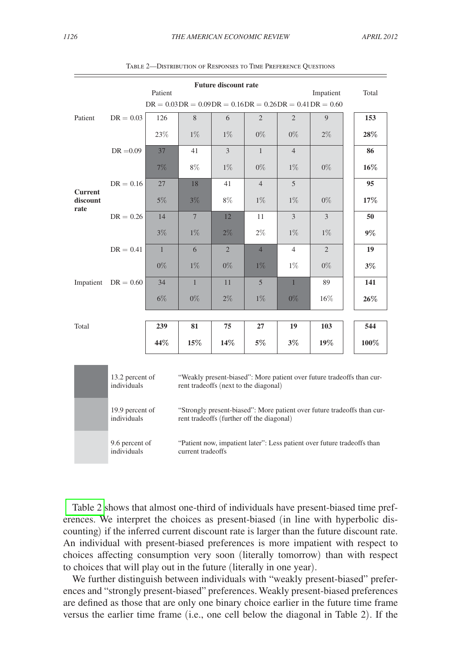| <b>Future discount rate</b>                                                                                                                      |                                                                                                                               |              |                                           |                |                |                |                                                                         |  |       |
|--------------------------------------------------------------------------------------------------------------------------------------------------|-------------------------------------------------------------------------------------------------------------------------------|--------------|-------------------------------------------|----------------|----------------|----------------|-------------------------------------------------------------------------|--|-------|
|                                                                                                                                                  |                                                                                                                               | Patient      |                                           |                |                |                | Impatient                                                               |  | Total |
| $DR = 0.03DR = 0.09DR = 0.16DR = 0.26DR = 0.41DR = 0.60$                                                                                         |                                                                                                                               |              |                                           |                |                |                |                                                                         |  |       |
| Patient                                                                                                                                          | $DR = 0.03$                                                                                                                   | 126          | 8                                         | 6              | $\overline{2}$ | $\overline{2}$ | 9                                                                       |  | 153   |
|                                                                                                                                                  |                                                                                                                               | 23%          | $1\%$                                     | $1\%$          | $0\%$          | $0\%$          | $2\%$                                                                   |  | 28\%  |
|                                                                                                                                                  | $DR = 0.09$                                                                                                                   | 37           | 41                                        | $\overline{3}$ | $\mathbf{1}$   | $\overline{4}$ |                                                                         |  | 86    |
|                                                                                                                                                  |                                                                                                                               | $7\%$        | 8%                                        | $1\%$          | $0\%$          | $1\%$          | 0%                                                                      |  | 16%   |
|                                                                                                                                                  | $DR = 0.16$                                                                                                                   | 27           | 18                                        | 41             | $\overline{4}$ | 5              |                                                                         |  | 95    |
| <b>Current</b><br>discount<br>rate                                                                                                               |                                                                                                                               | 5%           | $3\%$                                     | 8%             | $1\%$          | $1\%$          | 0%                                                                      |  | 17%   |
|                                                                                                                                                  | $DR = 0.26$                                                                                                                   | 14           | $\overline{7}$                            | 12             | 11             | 3              | $\overline{3}$                                                          |  | 50    |
|                                                                                                                                                  |                                                                                                                               | $3\%$        | $1\%$                                     | $2\%$          | $2\%$          | $1\%$          | $1\%$                                                                   |  | 9%    |
|                                                                                                                                                  | $DR = 0.41$                                                                                                                   | $\mathbf{1}$ | 6                                         | $\overline{2}$ | $\overline{4}$ | $\overline{4}$ | $\overline{2}$                                                          |  | 19    |
|                                                                                                                                                  |                                                                                                                               | $0\%$        | $1\%$                                     | $0\%$          | $1\%$          | $1\%$          | $0\%$                                                                   |  | 3%    |
| Impatient                                                                                                                                        | $DR = 0.60$                                                                                                                   | 34           | $\mathbf{1}$                              | 11             | 5              | $\mathbf{1}$   | 89                                                                      |  | 141   |
|                                                                                                                                                  |                                                                                                                               | 6%           | $0\%$                                     | $2\%$          | $1\%$          | $0\%$          | 16%                                                                     |  | 26%   |
|                                                                                                                                                  |                                                                                                                               |              |                                           |                |                |                |                                                                         |  |       |
| Total                                                                                                                                            |                                                                                                                               | 239          | 81                                        | 75             | 27             | 19             | 103                                                                     |  | 544   |
|                                                                                                                                                  |                                                                                                                               | 44%          | 15%                                       | 14%            | 5%             | 3%             | 19%                                                                     |  | 100%  |
| 13.2 percent of<br>"Weakly present-biased": More patient over future tradeoffs than cur-<br>individuals<br>rent tradeoffs (next to the diagonal) |                                                                                                                               |              |                                           |                |                |                |                                                                         |  |       |
|                                                                                                                                                  | 19.9 percent of<br>individuals                                                                                                |              | rent tradeoffs (further off the diagonal) |                |                |                | "Strongly present-biased": More patient over future tradeoffs than cur- |  |       |
|                                                                                                                                                  | 9.6 percent of<br>"Patient now, impatient later": Less patient over future tradeoffs than<br>individuals<br>current tradeoffs |              |                                           |                |                |                |                                                                         |  |       |

Table 2—Distribution of Responses to Time Preference Questions

Table 2 shows that almost one-third of individuals have present-biased time preferences. We interpret the choices as present-biased (in line with hyperbolic discounting) if the inferred current discount rate is larger than the future discount rate. An individual with present-biased preferences is more impatient with respect to choices affecting consumption very soon (literally tomorrow) than with respect to choices that will play out in the future (literally in one year).

We further distinguish between individuals with "weakly present-biased" preferences and "strongly present-biased" preferences. Weakly present-biased preferences are defined as those that are only one binary choice earlier in the future time frame versus the earlier time frame (i.e., one cell below the diagonal in Table 2). If the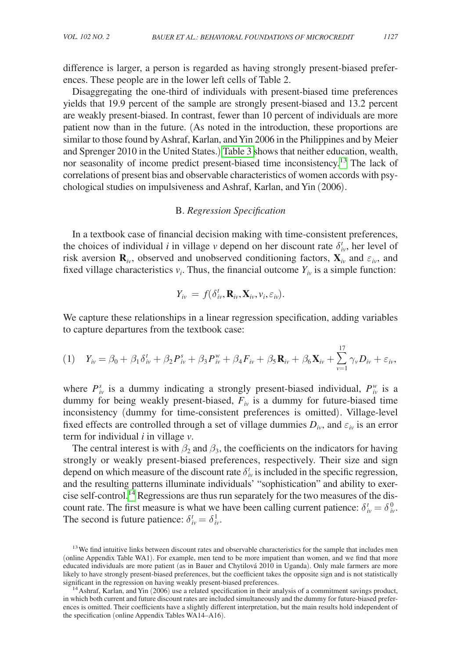<span id="page-9-0"></span>difference is larger, a person is regarded as having strongly present-biased preferences. These people are in the lower left cells of Table 2.

Disaggregating the one-third of individuals with present-biased time preferences yields that 19.9 percent of the sample are strongly present-biased and 13.2 percent are weakly present-biased. In contrast, fewer than 10 percent of individuals are more patient now than in the future. (As noted in the introduction, these proportions are similar to those found by Ashraf, Karlan, and Yin 2006 in the Philippines and by Meier and Sprenger 2010 in the United States.) [Table 3](#page-10-0) shows that neither education, wealth, nor seasonality of income predict present-biased time inconsistency.<sup>13</sup> The lack of correlations of present bias and observable characteristics of women accords with psychological studies on impulsiveness and Ashraf, Karlan, and Yin (2006).

#### B. *Regression Specification*

In a textbook case of financial decision making with time-consistent preferences, the choices of individual *i* in village *v* depend on her discount rate  $\delta^t_{iv}$ , her level of risk aversion  $\mathbf{R}_{iv}$ , observed and unobserved conditioning factors,  $\mathbf{X}_{iv}$  and  $\varepsilon_{iv}$ , and fixed village characteristics  $v_i$ . Thus, the financial outcome  $Y_i$  is a simple function:

$$
Y_{iv} = f(\delta_{iv}^t, \mathbf{R}_{iv}, \mathbf{X}_{iv}, v_i, \varepsilon_{iv}).
$$

We capture these relationships in a linear regression specification, adding variables to capture departures from the textbook case:

$$
(1) \quad Y_{iv} = \beta_0 + \beta_1 \delta_{iv}^t + \beta_2 P_{iv}^s + \beta_3 P_{iv}^w + \beta_4 F_{iv} + \beta_5 \mathbf{R}_{iv} + \beta_6 \mathbf{X}_{iv} + \sum_{v=1}^{17} \gamma_v D_{iv} + \varepsilon_{iv},
$$

where  $P_{iv}^{s}$  is a dummy indicating a strongly present-biased individual,  $P_{iv}^{w}$  is a dummy for being weakly present-biased,  $F_{iv}$  is a dummy for future-biased time inconsistency (dummy for time-consistent preferences is omitted). Village-level fixed effects are controlled through a set of village dummies  $D_{iv}$ , and  $\varepsilon_{iv}$  is an error term for individual *i* in village *v*.

The central interest is with  $\beta_2$  and  $\beta_3$ , the coefficients on the indicators for having strongly or weakly present-biased preferences, respectively. Their size and sign depend on which measure of the discount rate  $\delta^t_{i\nu}$  is included in the specific regression, and the resulting patterns illuminate individuals' "sophistication" and ability to exercise self-control[.14](#page-9-2) Regressions are thus run separately for the two measures of the discount rate. The first measure is what we have been calling current patience:  $\delta_{iv}^t = \delta_{iv}^0$ . The second is future patience:  $\delta_{iv}^t = \delta_{iv}^1$ .

<span id="page-9-1"></span> $13$  We find intuitive links between discount rates and observable characteristics for the sample that includes men (online Appendix Table WA1). For example, men tend to be more impatient than women, and we find that more educated individuals are more patient (as in Bauer and Chytilová 2010 in Uganda). Only male farmers are more likely to have strongly present-biased preferences, but the coefficient takes the opposite sign and is not statistically

<span id="page-9-2"></span>significant in the regression on having weakly present-biased preferences.<br><sup>14</sup>Ashraf, Karlan, and Yin (2006) use a related specification in their analysis of a commitment savings product, in which both current and future discount rates are included simultaneously and the dummy for future-biased preferences is omitted. Their coefficients have a slightly different interpretation, but the main results hold independent of the specification (online Appendix Tables WA14–A16).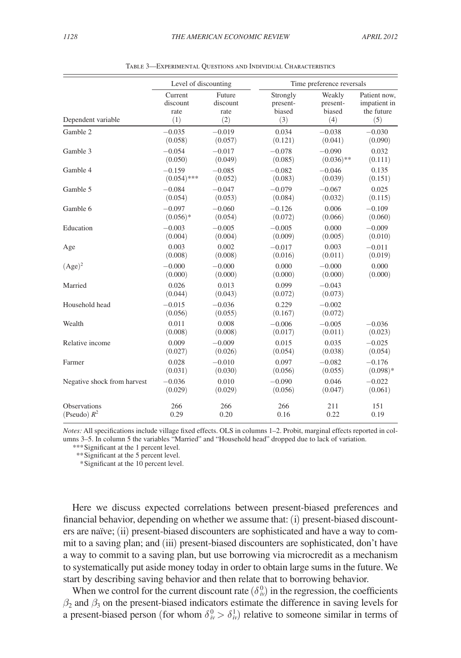<span id="page-10-0"></span>

|                             | Level of discounting |                     |                  | Time preference reversals |              |
|-----------------------------|----------------------|---------------------|------------------|---------------------------|--------------|
| Dependent variable          | Current              | Future              | Strongly         | Weakly                    | Patient now. |
|                             | discount             | discount            | present-         | present-                  | impatient in |
|                             | rate                 | rate                | biased           | biased                    | the future   |
|                             | (1)                  | (2)                 | (3)              | (4)                       | (5)          |
| Gamble 2                    | $-0.035$             | $-0.019$            | 0.034            | $-0.038$                  | $-0.030$     |
|                             | (0.058)              | (0.057)             | (0.121)          | (0.041)                   | (0.090)      |
| Gamble 3                    | $-0.054$             | $-0.017$            | $-0.078$         | $-0.090$                  | 0.032        |
|                             | (0.050)              | (0.049)             | (0.085)          | $(0.036)$ **              | (0.111)      |
| Gamble 4                    | $-0.159$             | $-0.085$            | $-0.082$         | $-0.046$                  | 0.135        |
|                             | $(0.054)$ ***        | (0.052)             | (0.083)          | (0.039)                   | (0.151)      |
| Gamble 5                    | $-0.084$             | $-0.047$            | $-0.079$         | $-0.067$                  | 0.025        |
|                             | (0.054)              | (0.053)             | (0.084)          | (0.032)                   | (0.115)      |
| Gamble 6                    | $-0.097$             | $-0.060$            | $-0.126$         | 0.006                     | $-0.109$     |
|                             | $(0.056)*$           | (0.054)             | (0.072)          | (0.066)                   | (0.060)      |
| Education                   | $-0.003$             | $-0.005$            | $-0.005$         | 0.000                     | $-0.009$     |
|                             | (0.004)              | (0.004)             | (0.009)          | (0.005)                   | (0.010)      |
| Age                         | 0.003                | 0.002               | $-0.017$         | 0.003                     | $-0.011$     |
|                             | (0.008)              | (0.008)             | (0.016)          | (0.011)                   | (0.019)      |
| $(Age)^2$                   | $-0.000$             | $-0.000$            | 0.000            | $-0.000$                  | 0.000        |
|                             | (0.000)              | (0.000)             | (0.000)          | (0.000)                   | (0.000)      |
| Married                     | 0.026<br>(0.044)     | 0.013<br>(0.043)    | 0.099<br>(0.072) | $-0.043$<br>(0.073)       |              |
| Household head              | $-0.015$<br>(0.056)  | $-0.036$<br>(0.055) | 0.229<br>(0.167) | $-0.002$<br>(0.072)       |              |
| Wealth                      | 0.011                | 0.008               | $-0.006$         | $-0.005$                  | $-0.036$     |
|                             | (0.008)              | (0.008)             | (0.017)          | (0.011)                   | (0.023)      |
| Relative income             | 0.009                | $-0.009$            | 0.015            | 0.035                     | $-0.025$     |
|                             | (0.027)              | (0.026)             | (0.054)          | (0.038)                   | (0.054)      |
| Farmer                      | 0.028                | $-0.010$            | 0.097            | $-0.082$                  | $-0.176$     |
|                             | (0.031)              | (0.030)             | (0.056)          | (0.055)                   | $(0.098)*$   |
| Negative shock from harvest | $-0.036$             | 0.010               | $-0.090$         | 0.046                     | $-0.022$     |
|                             | (0.029)              | (0.029)             | (0.056)          | (0.047)                   | (0.061)      |
| <b>Observations</b>         | 266                  | 266                 | 266              | 211                       | 151          |
| (Pseudo) $R^2$              | 0.29                 | 0.20                | 0.16             | 0.22                      | 0.19         |

Table 3—Experimental Questions and Individual Characteristics

*Notes:* All specifications include village fixed effects. OLS in columns 1–2. Probit, marginal effects reported in columns 3–5. In column 5 the variables "Married" and "Household head" dropped due to lack of variation.

*\*\*\**Significant at the 1 percent level.

*\*\**Significant at the 5 percent level.

 *\**Significant at the 10 percent level.

Here we discuss expected correlations between present-biased preferences and financial behavior, depending on whether we assume that: (i) present-biased discounters are naïve; (ii) present-biased discounters are sophisticated and have a way to commit to a saving plan; and (iii) present-biased discounters are sophisticated, don't have a way to commit to a saving plan, but use borrowing via microcredit as a mechanism to systematically put aside money today in order to obtain large sums in the future. We start by describing saving behavior and then relate that to borrowing behavior.

When we control for the current discount rate  $(\delta_w^0)$  in the regression, the coefficients  $\beta_2$  and  $\beta_3$  on the present-biased indicators estimate the difference in saving levels for a present-biased person (for whom  $\delta_{iv}^0 > \delta_{iv}^1$ ) relative to someone similar in terms of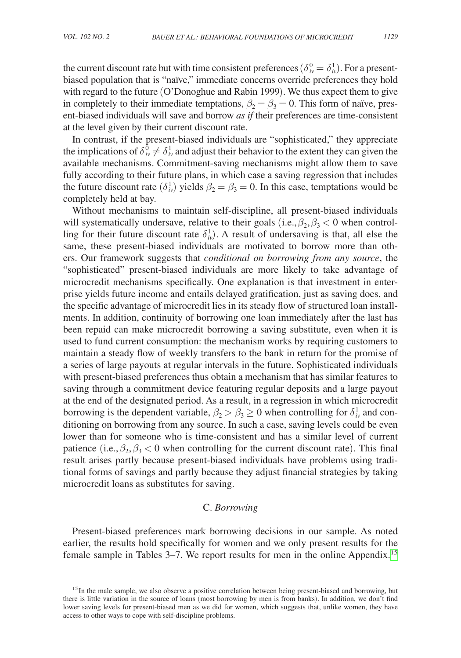<span id="page-11-0"></span>the current discount rate but with time consistent preferences  $(\delta_{iv}^0 = \delta_{iv}^1)$ . For a presentbiased population that is "naïve," immediate concerns override preferences they hold with regard to the future (O'Donoghue and Rabin 1999). We thus expect them to give in completely to their immediate temptations,  $\beta_2 = \beta_3 = 0$ . This form of naïve, present-biased individuals will save and borrow *as if* their preferences are time-consistent at the level given by their current discount rate.

In contrast, if the present-biased individuals are "sophisticated," they appreciate the implications of  $\delta_{iv}^0 \neq \delta_{iv}^1$  and adjust their behavior to the extent they can given the available mechanisms. Commitment-saving mechanisms might allow them to save fully according to their future plans, in which case a saving regression that includes the future discount rate  $(\delta_{iv}^1)$  yields  $\beta_2 = \beta_3 = 0$ . In this case, temptations would be completely held at bay.

Without mechanisms to maintain self-discipline, all present-biased individuals will systematically undersave, relative to their goals (i.e.,  $\beta_2$ ,  $\beta_3$  < 0 when controlling for their future discount rate  $\delta_{iv}^1$ ). A result of undersaving is that, all else the same, these present-biased individuals are motivated to borrow more than others. Our framework suggests that *conditional on borrowing from any source*, the "sophisticated" present-biased individuals are more likely to take advantage of microcredit mechanisms specifically. One explanation is that investment in enterprise yields future income and entails delayed gratification, just as saving does, and the specific advantage of microcredit lies in its steady flow of structured loan installments. In addition, continuity of borrowing one loan immediately after the last has been repaid can make microcredit borrowing a saving substitute, even when it is used to fund current consumption: the mechanism works by requiring customers to maintain a steady flow of weekly transfers to the bank in return for the promise of a series of large payouts at regular intervals in the future. Sophisticated individuals with present-biased preferences thus obtain a mechanism that has similar features to saving through a commitment device featuring regular deposits and a large payout at the end of the designated period. As a result, in a regression in which microcredit borrowing is the dependent variable,  $\beta_2 > \beta_3 \ge 0$  when controlling for  $\delta_{iv}^1$  and conditioning on borrowing from any source. In such a case, saving levels could be even lower than for someone who is time-consistent and has a similar level of current patience (i.e.,  $\beta_2$ ,  $\beta_3$  < 0 when controlling for the current discount rate). This final result arises partly because present-biased individuals have problems using traditional forms of savings and partly because they adjust financial strategies by taking microcredit loans as substitutes for saving.

### C. *Borrowing*

Present-biased preferences mark borrowing decisions in our sample. As noted earlier, the results hold specifically for women and we only present results for the female sample in Tables 3–7. We report results for men in the online Appendix.<sup>[15](#page-11-1)</sup>

<span id="page-11-1"></span><sup>&</sup>lt;sup>15</sup> In the male sample, we also observe a positive correlation between being present-biased and borrowing, but there is little variation in the source of loans (most borrowing by men is from banks). In addition, we don't find lower saving levels for present-biased men as we did for women, which suggests that, unlike women, they have access to other ways to cope with self-discipline problems.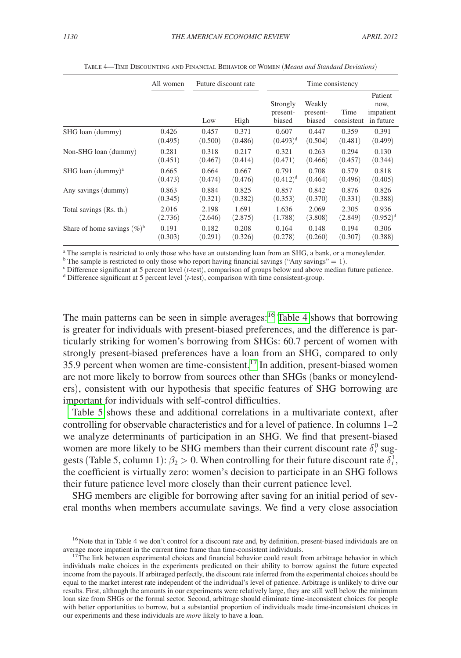|                                | Future discount rate<br>All women |         |         | Time consistency               |                              |                    |                                           |  |
|--------------------------------|-----------------------------------|---------|---------|--------------------------------|------------------------------|--------------------|-------------------------------------------|--|
|                                |                                   | Low     | High    | Strongly<br>present-<br>biased | Weakly<br>present-<br>biased | Time<br>consistent | Patient<br>now,<br>impatient<br>in future |  |
| SHG loan (dummy)               | 0.426                             | 0.457   | 0.371   | 0.607                          | 0.447                        | 0.359              | 0.391                                     |  |
|                                | (0.495)                           | (0.500) | (0.486) | $(0.493)^d$                    | (0.504)                      | (0.481)            | (0.499)                                   |  |
| Non-SHG loan (dummy)           | 0.281                             | 0.318   | 0.217   | 0.321                          | 0.263                        | 0.294              | 0.130                                     |  |
|                                | (0.451)                           | (0.467) | (0.414) | (0.471)                        | (0.466)                      | (0.457)            | (0.344)                                   |  |
| SHG loan $(dummy)a$            | 0.665                             | 0.664   | 0.667   | 0.791                          | 0.708                        | 0.579              | 0.818                                     |  |
|                                | (0.473)                           | (0.474) | (0.476) | $(0.412)^d$                    | (0.464)                      | (0.496)            | (0.405)                                   |  |
| Any savings (dummy)            | 0.863                             | 0.884   | 0.825   | 0.857                          | 0.842                        | 0.876              | 0.826                                     |  |
|                                | (0.345)                           | (0.321) | (0.382) | (0.353)                        | (0.370)                      | (0.331)            | (0.388)                                   |  |
| Total savings (Rs. th.)        | 2.016                             | 2.198   | 1.691   | 1.636                          | 2.069                        | 2.305              | 0.936                                     |  |
|                                | (2.736)                           | (2.646) | (2.875) | (1.788)                        | (3.808)                      | (2.849)            | $(0.952)^d$                               |  |
| Share of home savings $(\%)^b$ | 0.191                             | 0.182   | 0.208   | 0.164                          | 0.148                        | 0.194              | 0.306                                     |  |
|                                | (0.303)                           | (0.291) | (0.326) | (0.278)                        | (0.260)                      | (0.307)            | (0.388)                                   |  |

Table 4—Time Discounting and Financial Behavior of Women (*Means and Standard Deviations*)

<sup>a</sup> The sample is restricted to only those who have an outstanding loan from an SHG, a bank, or a moneylender.

<sup>b</sup> The sample is restricted to only those who report having financial savings ("Any savings" = 1).

<sup>c</sup> Difference significant at 5 percent level (*t*-test), comparison of groups below and above median future patience. Difference significant at 5 percent level (*t*-test), comparison with time consistent-group.

The main patterns can be seen in simple averages:  $16$  Table 4 shows that borrowing is greater for individuals with present-biased preferences, and the difference is particularly striking for women's borrowing from SHGs: 60.7 percent of women with strongly present-biased preferences have a loan from an SHG, compared to only 35.9 percent when women are time-consistent.<sup>[17](#page-12-1)</sup> In addition, present-biased women are not more likely to borrow from sources other than SHGs (banks or moneylenders), consistent with our hypothesis that specific features of SHG borrowing are important for individuals with self-control difficulties.

[Table 5](#page-13-0) shows these and additional correlations in a multivariate context, after controlling for observable characteristics and for a level of patience. In columns 1–2 we analyze determinants of participation in an SHG. We find that present-biased women are more likely to be SHG members than their current discount rate  $\delta_i^0$  suggests (Table 5, column 1):  $\beta_2 > 0$ . When controlling for their future discount rate  $\delta_i^1$ , the coefficient is virtually zero: women's decision to participate in an SHG follows their future patience level more closely than their current patience level.

SHG members are eligible for borrowing after saving for an initial period of several months when members accumulate savings. We find a very close association

<span id="page-12-0"></span><sup>&</sup>lt;sup>16</sup>Note that in Table 4 we don't control for a discount rate and, by definition, present-biased individuals are on average more impatient in the current time frame than time-consistent individuals.<br><sup>17</sup>The link between experimental choices and financial behavior could result from arbitrage behavior in which

<span id="page-12-1"></span>individuals make choices in the experiments predicated on their ability to borrow against the future expected income from the payouts. If arbitraged perfectly, the discount rate inferred from the experimental choices should be equal to the market interest rate independent of the individual's level of patience. Arbitrage is unlikely to drive our results. First, although the amounts in our experiments were relatively large, they are still well below the minimum loan size from SHGs or the formal sector. Second, arbitrage should eliminate time-inconsistent choices for people with better opportunities to borrow, but a substantial proportion of individuals made time-inconsistent choices in our experiments and these individuals are *more* likely to have a loan.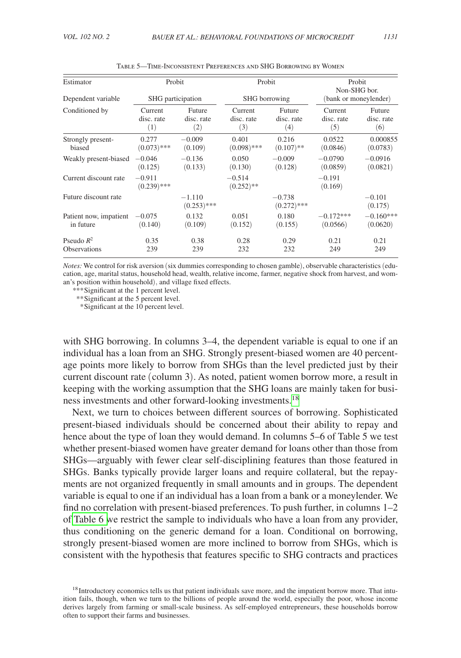<span id="page-13-0"></span>

| Estimator              | Probit                    |                           |                          | Probit                    | Probit<br>Non-SHG bor. |                      |
|------------------------|---------------------------|---------------------------|--------------------------|---------------------------|------------------------|----------------------|
| Dependent variable     | SHG participation         |                           | SHG borrowing            |                           |                        | bank or moneylender) |
| Conditioned by         | Current                   | Future                    | Current                  | Future                    | Current                | Future               |
|                        | disc. rate                | disc. rate                | disc. rate               | disc. rate                | disc. rate             | disc. rate           |
|                        | (1)                       | (2)                       | (3)                      | (4)                       | (5)                    | (6)                  |
| Strongly present-      | 0.277                     | $-0.009$                  | 0.401                    | 0.216                     | 0.0522                 | 0.000855             |
| biased                 | $(0.073)$ ***             | (0.109)                   | $(0.098)$ ***            | $(0.107)$ **              | (0.0846)               | (0.0783)             |
| Weakly present-biased  | $-0.046$                  | $-0.136$                  | 0.050                    | $-0.009$                  | $-0.0790$              | $-0.0916$            |
|                        | (0.125)                   | (0.133)                   | (0.130)                  | (0.128)                   | (0.0859)               | (0.0821)             |
| Current discount rate  | $-0.911$<br>$(0.239)$ *** |                           | $-0.514$<br>$(0.252)$ ** |                           | $-0.191$<br>(0.169)    |                      |
| Future discount rate   |                           | $-1.110$<br>$(0.253)$ *** |                          | $-0.738$<br>$(0.272)$ *** |                        | $-0.101$<br>(0.175)  |
| Patient now, impatient | $-0.075$                  | 0.132                     | 0.051                    | 0.180                     | $-0.172***$            | $-0.160***$          |
| in future              | (0.140)                   | (0.109)                   | (0.152)                  | (0.155)                   | (0.0566)               | (0.0620)             |
| Pseudo $R^2$           | 0.35                      | 0.38                      | 0.28                     | 0.29                      | 0.21                   | 0.21                 |
| <b>Observations</b>    | 239                       | 239                       | 232                      | 232                       | 249                    | 249                  |

Table 5—Time-Inconsistent Preferences and SHG Borrowing by Women

*Notes:* We control for risk aversion (six dummies corresponding to chosen gamble), observable characteristics (education, age, marital status, household head, wealth, relative income, farmer, negative shock from harvest, and woman's position within household), and village fixed effects.

*\*\*\**Significant at the 1 percent level.

*\*\**Significant at the 5 percent level.

 *\**Significant at the 10 percent level.

with SHG borrowing. In columns 3–4, the dependent variable is equal to one if an individual has a loan from an SHG. Strongly present-biased women are 40 percentage points more likely to borrow from SHGs than the level predicted just by their current discount rate (column 3). As noted, patient women borrow more, a result in keeping with the working assumption that the SHG loans are mainly taken for busi-ness investments and other forward-looking investments.<sup>[18](#page-13-1)</sup>

Next, we turn to choices between different sources of borrowing. Sophisticated present-biased individuals should be concerned about their ability to repay and hence about the type of loan they would demand. In columns 5–6 of Table 5 we test whether present-biased women have greater demand for loans other than those from SHGs—arguably with fewer clear self-disciplining features than those featured in SHGs. Banks typically provide larger loans and require collateral, but the repayments are not organized frequently in small amounts and in groups. The dependent variable is equal to one if an individual has a loan from a bank or a moneylender. We find no correlation with present-biased preferences. To push further, in columns 1–2 of [Table 6 w](#page-14-0)e restrict the sample to individuals who have a loan from any provider, thus conditioning on the generic demand for a loan. Conditional on borrowing, strongly present-biased women are more inclined to borrow from SHGs, which is consistent with the hypothesis that features specific to SHG contracts and practices

<span id="page-13-1"></span><sup>&</sup>lt;sup>18</sup>Introductory economics tells us that patient individuals save more, and the impatient borrow more. That intuition fails, though, when we turn to the billions of people around the world, especially the poor, whose income derives largely from farming or small-scale business. As self-employed entrepreneurs, these households borrow often to support their farms and businesses.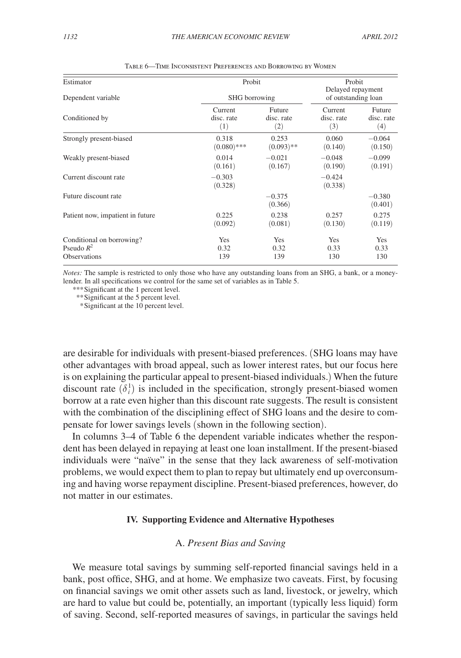<span id="page-14-0"></span>

| Estimator                        |                     | Probit              |                     | Probit<br>Delayed repayment |
|----------------------------------|---------------------|---------------------|---------------------|-----------------------------|
| Dependent variable               |                     | SHG borrowing       |                     | of outstanding loan         |
| Conditioned by                   | Current             | Future              | Current             | Future                      |
|                                  | disc. rate          | disc. rate          | disc. rate          | disc. rate                  |
|                                  | (1)                 | (2)                 | (3)                 | (4)                         |
| Strongly present-biased          | 0.318               | 0.253               | 0.060               | $-0.064$                    |
|                                  | $(0.080)$ ***       | $(0.093)$ **        | (0.140)             | (0.150)                     |
| Weakly present-biased            | 0.014               | $-0.021$            | $-0.048$            | $-0.099$                    |
|                                  | (0.161)             | (0.167)             | (0.190)             | (0.191)                     |
| Current discount rate            | $-0.303$<br>(0.328) |                     | $-0.424$<br>(0.338) |                             |
| Future discount rate             |                     | $-0.375$<br>(0.366) |                     | $-0.380$<br>(0.401)         |
| Patient now, impatient in future | 0.225               | 0.238               | 0.257               | 0.275                       |
|                                  | (0.092)             | (0.081)             | (0.130)             | (0.119)                     |
| Conditional on borrowing?        | Yes                 | Yes                 | Yes                 | Yes                         |
| Pseudo $R^2$                     | 0.32                | 0.32                | 0.33                | 0.33                        |
| <b>Observations</b>              | 139                 | 139                 | 130                 | 130                         |

Table 6—Time Inconsistent Preferences and Borrowing by Women

*Notes:* The sample is restricted to only those who have any outstanding loans from an SHG, a bank, or a moneylender. In all specifications we control for the same set of variables as in Table 5.

*\*\*\**Significant at the 1 percent level.

*\*\**Significant at the 5 percent level.

 *\**Significant at the 10 percent level.

are desirable for individuals with present-biased preferences. (SHG loans may have other advantages with broad appeal, such as lower interest rates, but our focus here is on explaining the particular appeal to present-biased individuals.) When the future discount rate  $(\delta_i^1)$  is included in the specification, strongly present-biased women borrow at a rate even higher than this discount rate suggests. The result is consistent with the combination of the disciplining effect of SHG loans and the desire to compensate for lower savings levels (shown in the following section).

In columns 3–4 of Table 6 the dependent variable indicates whether the respondent has been delayed in repaying at least one loan installment. If the present-biased individuals were "naïve" in the sense that they lack awareness of self-motivation problems, we would expect them to plan to repay but ultimately end up overconsuming and having worse repayment discipline. Present-biased preferences, however, do not matter in our estimates.

#### **IV. Supporting Evidence and Alternative Hypotheses**

## A. *Present Bias and Saving*

We measure total savings by summing self-reported financial savings held in a bank, post office, SHG, and at home. We emphasize two caveats. First, by focusing on financial savings we omit other assets such as land, livestock, or jewelry, which are hard to value but could be, potentially, an important (typically less liquid) form of saving. Second, self-reported measures of savings, in particular the savings held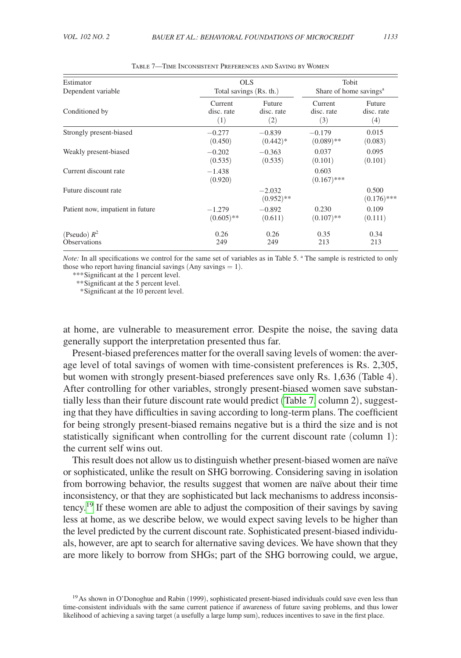| Estimator<br>Dependent variable  | <b>OLS</b><br>Total savings (Rs. th.) |                          | Tobit<br>Share of home savings <sup>a</sup> |                        |
|----------------------------------|---------------------------------------|--------------------------|---------------------------------------------|------------------------|
| Conditioned by                   | Current                               | Future                   | Current                                     | Future                 |
|                                  | disc. rate                            | disc. rate               | disc. rate                                  | disc. rate             |
|                                  | (1)                                   | (2)                      | (3)                                         | (4)                    |
| Strongly present-biased          | $-0.277$                              | $-0.839$                 | $-0.179$                                    | 0.015                  |
|                                  | (0.450)                               | $(0.442)*$               | $(0.089)$ **                                | (0.083)                |
| Weakly present-biased            | $-0.202$                              | $-0.363$                 | 0.037                                       | 0.095                  |
|                                  | (0.535)                               | (0.535)                  | (0.101)                                     | (0.101)                |
| Current discount rate            | $-1.438$<br>(0.920)                   |                          | 0.603<br>$(0.167)$ ***                      |                        |
| Future discount rate             |                                       | $-2.032$<br>$(0.952)$ ** |                                             | 0.500<br>$(0.176)$ *** |
| Patient now, impatient in future | $-1.279$                              | $-0.892$                 | 0.230                                       | 0.109                  |
|                                  | $(0.605)$ **                          | (0.611)                  | $(0.107)$ **                                | (0.111)                |
| (Pseudo) $R^2$                   | 0.26                                  | 0.26                     | 0.35                                        | 0.34                   |
| <b>Observations</b>              | 249                                   | 249                      | 213                                         | 213                    |

Table 7—Time Inconsistent Preferences and Saving by Women

*Note:* In all specifications we control for the same set of variables as in Table 5.<sup>a</sup> The sample is restricted to only those who report having financial savings  $(Any \, savings = 1)$ .

*\*\*\**Significant at the 1 percent level.

*\*\**Significant at the 5 percent level.

 *\**Significant at the 10 percent level.

at home, are vulnerable to measurement error. Despite the noise, the saving data generally support the interpretation presented thus far.

Present-biased preferences matter for the overall saving levels of women: the average level of total savings of women with time-consistent preferences is Rs. 2,305, but women with strongly present-biased preferences save only Rs. 1,636 (Table 4). After controlling for other variables, strongly present-biased women save substantially less than their future discount rate would predict (Table 7, column 2), suggesting that they have difficulties in saving according to long-term plans. The coefficient for being strongly present-biased remains negative but is a third the size and is not statistically significant when controlling for the current discount rate (column 1): the current self wins out.

This result does not allow us to distinguish whether present-biased women are naïve or sophisticated, unlike the result on SHG borrowing. Considering saving in isolation from borrowing behavior, the results suggest that women are naïve about their time inconsistency, or that they are sophisticated but lack mechanisms to address inconsistency.<sup>19</sup> If these women are able to adjust the composition of their savings by saving less at home, as we describe below, we would expect saving levels to be higher than the level predicted by the current discount rate. Sophisticated present-biased individuals, however, are apt to search for alternative saving devices. We have shown that they are more likely to borrow from SHGs; part of the SHG borrowing could, we argue,

<span id="page-15-0"></span><sup>&</sup>lt;sup>19</sup>As shown in O'Donoghue and Rabin (1999), sophisticated present-biased individuals could save even less than time-consistent individuals with the same current patience if awareness of future saving problems, and thus lower likelihood of achieving a saving target (a usefully a large lump sum), reduces incentives to save in the first place.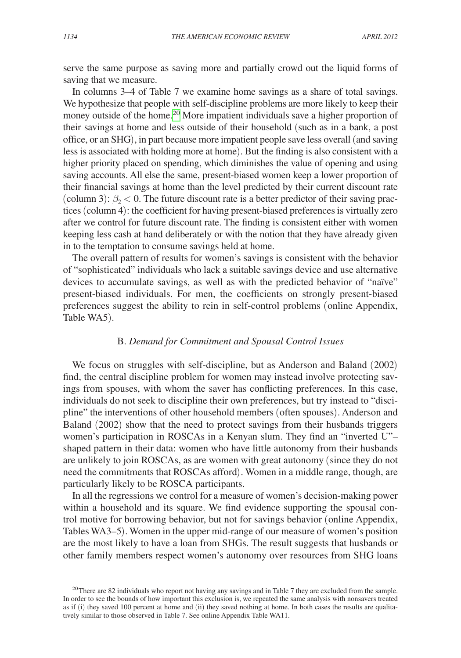<span id="page-16-0"></span>serve the same purpose as saving more and partially crowd out the liquid forms of saving that we measure.

In columns 3–4 of Table 7 we examine home savings as a share of total savings. We hypothesize that people with self-discipline problems are more likely to keep their money outside of the home.<sup>20</sup> More impatient individuals save a higher proportion of their savings at home and less outside of their household (such as in a bank, a post office, or an SHG), in part because more impatient people save less overall (and saving less is associated with holding more at home). But the finding is also consistent with a higher priority placed on spending, which diminishes the value of opening and using saving accounts. All else the same, present-biased women keep a lower proportion of their financial savings at home than the level predicted by their current discount rate (column 3):  $\beta_2$  < 0. The future discount rate is a better predictor of their saving practices (column 4): the coefficient for having present-biased preferences is virtually zero after we control for future discount rate. The finding is consistent either with women keeping less cash at hand deliberately or with the notion that they have already given in to the temptation to consume savings held at home.

The overall pattern of results for women's savings is consistent with the behavior of "sophisticated" individuals who lack a suitable savings device and use alternative devices to accumulate savings, as well as with the predicted behavior of "naïve" present-biased individuals. For men, the coefficients on strongly present-biased preferences suggest the ability to rein in self-control problems (online Appendix, Table WA5).

## B. *Demand for Commitment and Spousal Control Issues*

We focus on struggles with self-discipline, but as Anderson and Baland (2002) find, the central discipline problem for women may instead involve protecting savings from spouses, with whom the saver has conflicting preferences. In this case, individuals do not seek to discipline their own preferences, but try instead to "discipline" the interventions of other household members (often spouses). Anderson and Baland (2002) show that the need to protect savings from their husbands triggers women's participation in ROSCAs in a Kenyan slum. They find an "inverted U"– shaped pattern in their data: women who have little autonomy from their husbands are unlikely to join ROSCAs, as are women with great autonomy (since they do not need the commitments that ROSCAs afford). Women in a middle range, though, are particularly likely to be ROSCA participants.

In all the regressions we control for a measure of women's decision-making power within a household and its square. We find evidence supporting the spousal control motive for borrowing behavior, but not for savings behavior (online Appendix, Tables WA3–5). Women in the upper mid-range of our measure of women's position are the most likely to have a loan from SHGs. The result suggests that husbands or other family members respect women's autonomy over resources from SHG loans

<span id="page-16-1"></span><sup>&</sup>lt;sup>20</sup>There are 82 individuals who report not having any savings and in Table 7 they are excluded from the sample. In order to see the bounds of how important this exclusion is, we repeated the same analysis with nonsavers treated as if (i) they saved 100 percent at home and (ii) they saved nothing at home. In both cases the results are qualitatively similar to those observed in Table 7. See online Appendix Table WA11.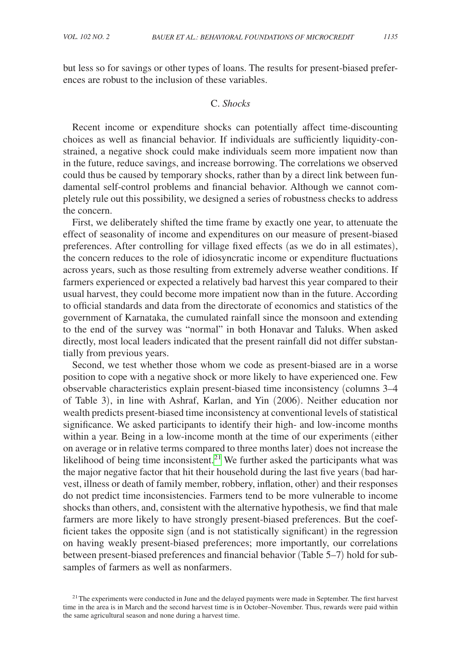<span id="page-17-0"></span>but less so for savings or other types of loans. The results for present-biased preferences are robust to the inclusion of these variables.

# C. *Shocks*

Recent income or expenditure shocks can potentially affect time-discounting choices as well as financial behavior. If individuals are sufficiently liquidity-constrained, a negative shock could make individuals seem more impatient now than in the future, reduce savings, and increase borrowing. The correlations we observed could thus be caused by temporary shocks, rather than by a direct link between fundamental self-control problems and financial behavior. Although we cannot completely rule out this possibility, we designed a series of robustness checks to address the concern.

First, we deliberately shifted the time frame by exactly one year, to attenuate the effect of seasonality of income and expenditures on our measure of present-biased preferences. After controlling for village fixed effects (as we do in all estimates), the concern reduces to the role of idiosyncratic income or expenditure fluctuations across years, such as those resulting from extremely adverse weather conditions. If farmers experienced or expected a relatively bad harvest this year compared to their usual harvest, they could become more impatient now than in the future. According to official standards and data from the directorate of economics and statistics of the government of Karnataka, the cumulated rainfall since the monsoon and extending to the end of the survey was "normal" in both Honavar and Taluks. When asked directly, most local leaders indicated that the present rainfall did not differ substantially from previous years.

Second, we test whether those whom we code as present-biased are in a worse position to cope with a negative shock or more likely to have experienced one. Few observable characteristics explain present-biased time inconsistency (columns 3–4 of Table 3), in line with Ashraf, Karlan, and Yin (2006). Neither education nor wealth predicts present-biased time inconsistency at conventional levels of statistical significance. We asked participants to identify their high- and low-income months within a year. Being in a low-income month at the time of our experiments (either on average or in relative terms compared to three months later) does not increase the likelihood of being time inconsistent.<sup>[21](#page-17-1)</sup> We further asked the participants what was the major negative factor that hit their household during the last five years (bad harvest, illness or death of family member, robbery, inflation, other) and their responses do not predict time inconsistencies. Farmers tend to be more vulnerable to income shocks than others, and, consistent with the alternative hypothesis, we find that male farmers are more likely to have strongly present-biased preferences. But the coefficient takes the opposite sign (and is not statistically significant) in the regression on having weakly present-biased preferences; more importantly, our correlations between present-biased preferences and financial behavior (Table 5–7) hold for subsamples of farmers as well as nonfarmers.

<span id="page-17-1"></span> $2<sup>1</sup>$ The experiments were conducted in June and the delayed payments were made in September. The first harvest time in the area is in March and the second harvest time is in October–November. Thus, rewards were paid within the same agricultural season and none during a harvest time.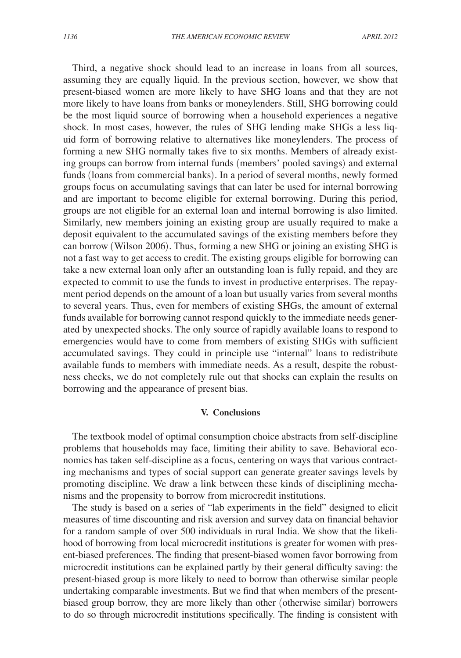<span id="page-18-0"></span>Third, a negative shock should lead to an increase in loans from all sources, assuming they are equally liquid. In the previous section, however, we show that present-biased women are more likely to have SHG loans and that they are not more likely to have loans from banks or moneylenders. Still, SHG borrowing could be the most liquid source of borrowing when a household experiences a negative shock. In most cases, however, the rules of SHG lending make SHGs a less liquid form of borrowing relative to alternatives like moneylenders. The process of forming a new SHG normally takes five to six months. Members of already existing groups can borrow from internal funds (members' pooled savings) and external funds (loans from commercial banks). In a period of several months, newly formed groups focus on accumulating savings that can later be used for internal borrowing and are important to become eligible for external borrowing. During this period, groups are not eligible for an external loan and internal borrowing is also limited. Similarly, new members joining an existing group are usually required to make a deposit equivalent to the accumulated savings of the existing members before they can borrow (Wilson 2006). Thus, forming a new SHG or joining an existing SHG is not a fast way to get access to credit. The existing groups eligible for borrowing can take a new external loan only after an outstanding loan is fully repaid, and they are expected to commit to use the funds to invest in productive enterprises. The repayment period depends on the amount of a loan but usually varies from several months to several years. Thus, even for members of existing SHGs, the amount of external funds available for borrowing cannot respond quickly to the immediate needs generated by unexpected shocks. The only source of rapidly available loans to respond to emergencies would have to come from members of existing SHGs with sufficient accumulated savings. They could in principle use "internal" loans to redistribute available funds to members with immediate needs. As a result, despite the robustness checks, we do not completely rule out that shocks can explain the results on borrowing and the appearance of present bias.

# **V. Conclusions**

The textbook model of optimal consumption choice abstracts from self-discipline problems that households may face, limiting their ability to save. Behavioral economics has taken self-discipline as a focus, centering on ways that various contracting mechanisms and types of social support can generate greater savings levels by promoting discipline. We draw a link between these kinds of disciplining mechanisms and the propensity to borrow from microcredit institutions.

The study is based on a series of "lab experiments in the field" designed to elicit measures of time discounting and risk aversion and survey data on financial behavior for a random sample of over 500 individuals in rural India. We show that the likelihood of borrowing from local microcredit institutions is greater for women with present-biased preferences. The finding that present-biased women favor borrowing from microcredit institutions can be explained partly by their general difficulty saving: the present-biased group is more likely to need to borrow than otherwise similar people undertaking comparable investments. But we find that when members of the presentbiased group borrow, they are more likely than other (otherwise similar) borrowers to do so through microcredit institutions specifically. The finding is consistent with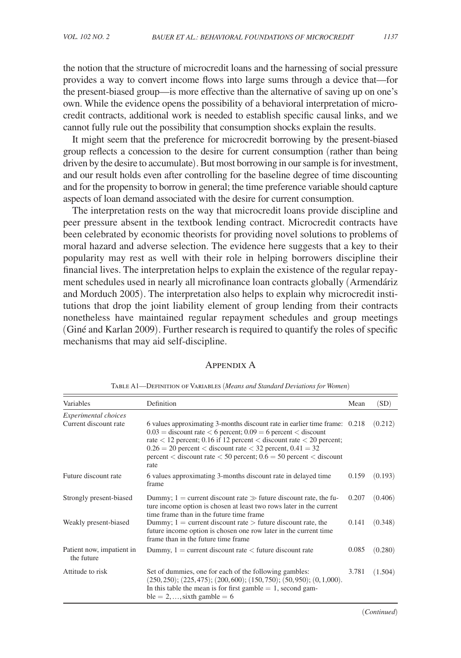<span id="page-19-0"></span>the notion that the structure of microcredit loans and the harnessing of social pressure provides a way to convert income flows into large sums through a device that—for the present-biased group—is more effective than the alternative of saving up on one's own. While the evidence opens the possibility of a behavioral interpretation of microcredit contracts, additional work is needed to establish specific causal links, and we cannot fully rule out the possibility that consumption shocks explain the results.

It might seem that the preference for microcredit borrowing by the present-biased group reflects a concession to the desire for current consumption (rather than being driven by the desire to accumulate). But most borrowing in our sample is for investment, and our result holds even after controlling for the baseline degree of time discounting and for the propensity to borrow in general; the time preference variable should capture aspects of loan demand associated with the desire for current consumption.

The interpretation rests on the way that microcredit loans provide discipline and peer pressure absent in the textbook lending contract. Microcredit contracts have been celebrated by economic theorists for providing novel solutions to problems of moral hazard and adverse selection. The evidence here suggests that a key to their popularity may rest as well with their role in helping borrowers discipline their financial lives. The interpretation helps to explain the existence of the regular repayment schedules used in nearly all microfinance loan contracts globally (Armendáriz and Morduch 2005). The interpretation also helps to explain why microcredit institutions that drop the joint liability element of group lending from their contracts nonetheless have maintained regular repayment schedules and group meetings (Giné and Karlan 2009). Further research is required to quantify the roles of specific mechanisms that may aid self-discipline.

# Appendix A

| Variables                               | Definition                                                                                                                                                                                                                                                                                                                                                                       | Mean  | (SD)    |
|-----------------------------------------|----------------------------------------------------------------------------------------------------------------------------------------------------------------------------------------------------------------------------------------------------------------------------------------------------------------------------------------------------------------------------------|-------|---------|
| Experimental choices                    |                                                                                                                                                                                                                                                                                                                                                                                  |       |         |
| Current discount rate                   | 6 values approximating 3-months discount rate in earlier time frame: 0.218<br>$0.03$ = discount rate < 6 percent; $0.09$ = 6 percent < discount<br>rate $< 12$ percent; 0.16 if 12 percent $<$ discount rate $< 20$ percent;<br>$0.26 = 20$ percent < discount rate < 32 percent, $0.41 = 32$<br>$percent <$ discount rate $<$ 50 percent; 0.6 = 50 percent $<$ discount<br>rate |       | (0.212) |
| Future discount rate                    | 6 values approximating 3-months discount rate in delayed time<br>frame                                                                                                                                                                                                                                                                                                           | 0.159 | (0.193) |
| Strongly present-biased                 | Dummy; 1 = current discount rate $\gg$ future discount rate, the fu-<br>ture income option is chosen at least two rows later in the current<br>time frame than in the future time frame                                                                                                                                                                                          | 0.207 | (0.406) |
| Weakly present-biased                   | Dummy; $1 =$ current discount rate $>$ future discount rate, the<br>future income option is chosen one row later in the current time<br>frame than in the future time frame                                                                                                                                                                                                      | 0.141 | (0.348) |
| Patient now, impatient in<br>the future | Dummy, $1 =$ current discount rate $\lt$ future discount rate                                                                                                                                                                                                                                                                                                                    | 0.085 | (0.280) |
| Attitude to risk                        | Set of dummies, one for each of the following gambles:<br>$(250, 250)$ ; $(225, 475)$ ; $(200, 600)$ ; $(150, 750)$ ; $(50, 950)$ ; $(0, 1,000)$ .<br>In this table the mean is for first gamble $= 1$ , second gam-<br>$ble = 2, \ldots, sixth gamble = 6$                                                                                                                      | 3.781 | (1.504) |

Table A1—Definition of Variables (*Means and Standard Deviations for Women*)

(*Continued*)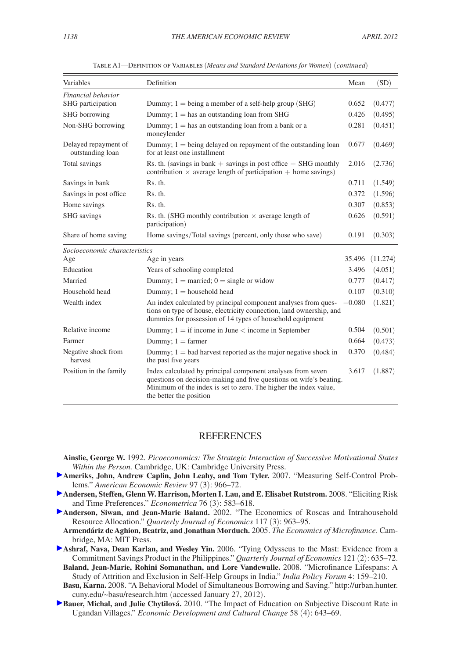<span id="page-20-0"></span>

| Variables                                | Definition                                                                                                                                                                                                                       | Mean     | (SD)     |
|------------------------------------------|----------------------------------------------------------------------------------------------------------------------------------------------------------------------------------------------------------------------------------|----------|----------|
| Financial behavior                       |                                                                                                                                                                                                                                  |          |          |
| SHG participation                        | Dummy; $1 =$ being a member of a self-help group (SHG)                                                                                                                                                                           | 0.652    | (0.477)  |
| SHG borrowing                            | Dummy; $1 =$ has an outstanding loan from SHG                                                                                                                                                                                    | 0.426    | (0.495)  |
| Non-SHG borrowing                        | Dummy; $1 =$ has an outstanding loan from a bank or a<br>moneylender                                                                                                                                                             | 0.281    | (0.451)  |
| Delayed repayment of<br>outstanding loan | Dummy; $1 = \text{being delayed on repayment of the outstanding loan}$<br>for at least one installment                                                                                                                           | 0.677    | (0.469)  |
| Total savings                            | Rs. th. (savings in bank $+$ savings in post office $+$ SHG monthly<br>contribution $\times$ average length of participation + home savings)                                                                                     | 2.016    | (2.736)  |
| Savings in bank                          | Rs. th.                                                                                                                                                                                                                          | 0.711    | (1.549)  |
| Savings in post office                   | Rs. th.                                                                                                                                                                                                                          | 0.372    | (1.596)  |
| Home savings                             | Rs. th.                                                                                                                                                                                                                          | 0.307    | (0.853)  |
| SHG savings                              | Rs. th. (SHG monthly contribution $\times$ average length of<br>participation)                                                                                                                                                   | 0.626    | (0.591)  |
| Share of home saving                     | Home savings/Total savings (percent, only those who save)                                                                                                                                                                        | 0.191    | (0.303)  |
| Socioeconomic characteristics            |                                                                                                                                                                                                                                  |          |          |
| Age                                      | Age in years                                                                                                                                                                                                                     | 35.496   | (11.274) |
| Education                                | Years of schooling completed                                                                                                                                                                                                     | 3.496    | (4.051)  |
| Married                                  | Dummy; $1 =$ married; $0 =$ single or widow                                                                                                                                                                                      | 0.777    | (0.417)  |
| Household head                           | Dummy; $1 =$ household head                                                                                                                                                                                                      | 0.107    | (0.310)  |
| Wealth index                             | An index calculated by principal component analyses from ques-<br>tions on type of house, electricity connection, land ownership, and<br>dummies for possession of 14 types of household equipment                               | $-0.080$ | (1.821)  |
| Relative income                          | Dummy; $1 =$ if income in June $\lt$ income in September                                                                                                                                                                         | 0.504    | (0.501)  |
| Farmer                                   | Dummy: $1 = \text{farrmer}$                                                                                                                                                                                                      | 0.664    | (0.473)  |
| Negative shock from<br>harvest           | Dummy; $1 =$ bad harvest reported as the major negative shock in<br>the past five years                                                                                                                                          | 0.370    | (0.484)  |
| Position in the family                   | Index calculated by principal component analyses from seven<br>questions on decision-making and five questions on wife's beating.<br>Minimum of the index is set to zero. The higher the index value,<br>the better the position | 3.617    | (1.887)  |

Table A1—Definition of Variables (*Means and Standard Deviations for Women*) (*continued*)

### **REFERENCES**

**Ainslie, George W.** 1992. *Picoeconomics: The Strategic Interaction of Successive Motivational States Within the Person.* Cambridge, UK: Cambridge University Press.

- **Ameriks, John, Andrew Caplin, John Leahy, and Tom Tyler.** 2007. "Measuring Self-Control Problems." *American Economic Review* 97 (3): 966–72.
- **Andersen, Steffen, Glenn W. Harrison, Morten I. Lau, and E. Elisabet Rutstrom.** 2008. "Eliciting Risk and Time Preferences." *Econometrica* 76 (3): 583–618.
- **Anderson, Siwan, and Jean-Marie Baland.** 2002. "The Economics of Roscas and Intrahousehold Resource Allocation." *Quarterly Journal of Economics* 117 (3): 963–95.
- **Armendáriz de Aghion, Beatriz, and Jonathan Morduch.** 2005. *The Economics of Microfinance*. Cambridge, MA: MIT Press.

**Ashraf, Nava, Dean Karlan, and Wesley Yin.** 2006. "Tying Odysseus to the Mast: Evidence from a Commitment Savings Product in the Philippines." *Quarterly Journal of Economics* 121 (2): 635–72. **Baland, Jean-Marie, Rohini Somanathan, and Lore Vandewalle.** 2008. "Microfinance Lifespans: A

Study of Attrition and Exclusion in Self-Help Groups in India." *India Policy Forum* 4: 159–210.

- **Basu, Karna.** 2008. "A Behavioral Model of Simultaneous Borrowing and Saving." [http://urban.hunter.](http://urban.hunter.cuny.edu/~basu/research.htm) [cuny.edu/~basu/research.htm](http://urban.hunter.cuny.edu/~basu/research.htm) (accessed January 27, 2012).
- **Bauer, Michal, and Julie Chytilová.** 2010. "The Impact of Education on Subjective Discount Rate in Ugandan Villages." *Economic Development and Cultural Change* 58 (4): 643–69.